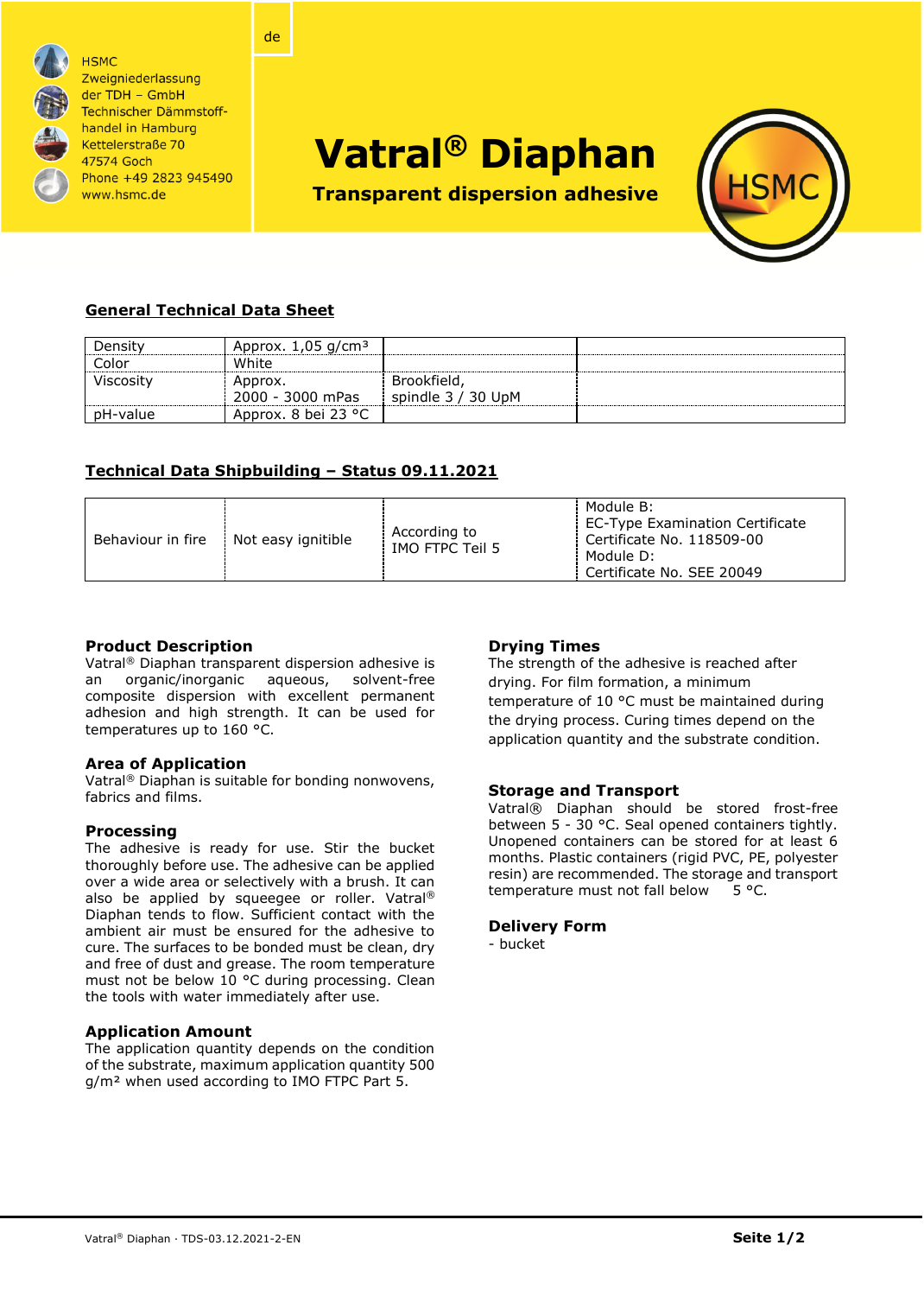

**HSMC** Zweigniederlassung der TDH - GmbH Technischer Dämmstoffhandel in Hamburg Kettelerstraße 70 47574 Goch Phone +49 2823 945490 www.hsmc.de

# **Vatral® Diaphan**

**Transparent dispersion adhesive**



# **General Technical Data Sheet**

| Density   | Approx. $1,05$ g/cm <sup>3</sup> |                    |  |
|-----------|----------------------------------|--------------------|--|
| Color     | White                            |                    |  |
| Viscosity | Approx.                          | Brookfield,        |  |
|           | 2000 - 3000 mPas                 | spindle 3 / 30 UpM |  |
| pH-value  | Approx. 8 bei 23 °C              |                    |  |

# **Technical Data Shipbuilding – Status 09.11.2021**

de

| According to<br>Behaviour in fire<br>Not easy ignitible<br>IMO FTPC Teil 5 | Module B:<br>EC-Type Examination Certificate<br>Certificate No. 118509-00<br>l Module D:<br>Certificate No. SEE 20049 |
|----------------------------------------------------------------------------|-----------------------------------------------------------------------------------------------------------------------|
|----------------------------------------------------------------------------|-----------------------------------------------------------------------------------------------------------------------|

#### **Product Description**

Vatral® Diaphan transparent dispersion adhesive is an organic/inorganic aqueous, solvent-free composite dispersion with excellent permanent adhesion and high strength. It can be used for temperatures up to 160 °C.

#### **Area of Application**

Vatral® Diaphan is suitable for bonding nonwovens, fabrics and films.

# **Processing**

The adhesive is ready for use. Stir the bucket thoroughly before use. The adhesive can be applied over a wide area or selectively with a brush. It can also be applied by squeegee or roller. Vatral® Diaphan tends to flow. Sufficient contact with the ambient air must be ensured for the adhesive to cure. The surfaces to be bonded must be clean, dry and free of dust and grease. The room temperature must not be below 10 °C during processing. Clean the tools with water immediately after use.

#### **Application Amount**

The application quantity depends on the condition of the substrate, maximum application quantity 500 g/m² when used according to IMO FTPC Part 5.

# **Drying Times**

The strength of the adhesive is reached after drying. For film formation, a minimum temperature of 10 °C must be maintained during the drying process. Curing times depend on the application quantity and the substrate condition.

#### **Storage and Transport**

Vatral® Diaphan should be stored frost-free between 5 - 30 °C. Seal opened containers tightly. Unopened containers can be stored for at least 6 months. Plastic containers (rigid PVC, PE, polyester resin) are recommended. The storage and transport temperature must not fall below 5 °C.

#### **Delivery Form**

- bucket